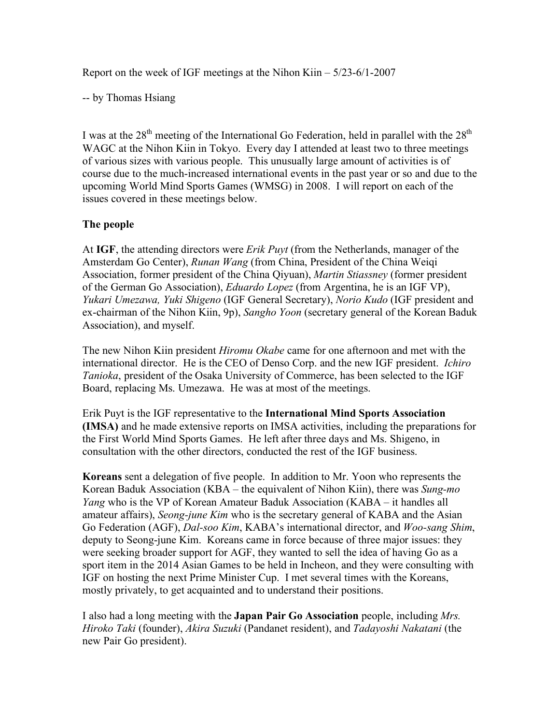Report on the week of IGF meetings at the Nihon Kiin – 5/23-6/1-2007

-- by Thomas Hsiang

I was at the  $28<sup>th</sup>$  meeting of the International Go Federation, held in parallel with the  $28<sup>th</sup>$ WAGC at the Nihon Kiin in Tokyo. Every day I attended at least two to three meetings of various sizes with various people. This unusually large amount of activities is of course due to the much-increased international events in the past year or so and due to the upcoming World Mind Sports Games (WMSG) in 2008. I will report on each of the issues covered in these meetings below.

### **The people**

At **IGF**, the attending directors were *Erik Puyt* (from the Netherlands, manager of the Amsterdam Go Center), *Runan Wang* (from China, President of the China Weiqi Association, former president of the China Qiyuan), *Martin Stiassney* (former president of the German Go Association), *Eduardo Lopez* (from Argentina, he is an IGF VP), *Yukari Umezawa, Yuki Shigeno* (IGF General Secretary), *Norio Kudo* (IGF president and ex-chairman of the Nihon Kiin, 9p), *Sangho Yoon* (secretary general of the Korean Baduk Association), and myself.

The new Nihon Kiin president *Hiromu Okabe* came for one afternoon and met with the international director. He is the CEO of Denso Corp. and the new IGF president. *Ichiro Tanioka*, president of the Osaka University of Commerce, has been selected to the IGF Board, replacing Ms. Umezawa. He was at most of the meetings.

Erik Puyt is the IGF representative to the **International Mind Sports Association (IMSA)** and he made extensive reports on IMSA activities, including the preparations for the First World Mind Sports Games. He left after three days and Ms. Shigeno, in consultation with the other directors, conducted the rest of the IGF business.

**Koreans** sent a delegation of five people. In addition to Mr. Yoon who represents the Korean Baduk Association (KBA – the equivalent of Nihon Kiin), there was *Sung-mo Yang* who is the VP of Korean Amateur Baduk Association (KABA – it handles all amateur affairs), *Seong-june Kim* who is the secretary general of KABA and the Asian Go Federation (AGF), *Dal-soo Kim*, KABA's international director, and *Woo-sang Shim*, deputy to Seong-june Kim. Koreans came in force because of three major issues: they were seeking broader support for AGF, they wanted to sell the idea of having Go as a sport item in the 2014 Asian Games to be held in Incheon, and they were consulting with IGF on hosting the next Prime Minister Cup. I met several times with the Koreans, mostly privately, to get acquainted and to understand their positions.

I also had a long meeting with the **Japan Pair Go Association** people, including *Mrs. Hiroko Taki* (founder), *Akira Suzuki* (Pandanet resident), and *Tadayoshi Nakatani* (the new Pair Go president).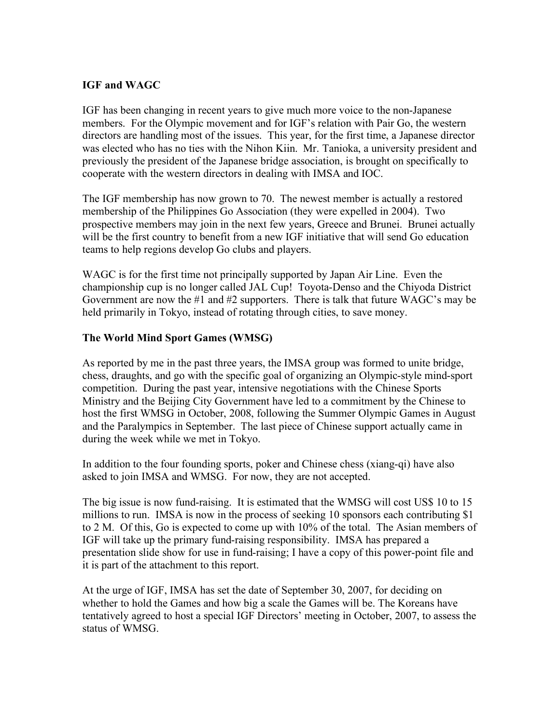### **IGF and WAGC**

IGF has been changing in recent years to give much more voice to the non-Japanese members. For the Olympic movement and for IGF's relation with Pair Go, the western directors are handling most of the issues. This year, for the first time, a Japanese director was elected who has no ties with the Nihon Kiin. Mr. Tanioka, a university president and previously the president of the Japanese bridge association, is brought on specifically to cooperate with the western directors in dealing with IMSA and IOC.

The IGF membership has now grown to 70. The newest member is actually a restored membership of the Philippines Go Association (they were expelled in 2004). Two prospective members may join in the next few years, Greece and Brunei. Brunei actually will be the first country to benefit from a new IGF initiative that will send Go education teams to help regions develop Go clubs and players.

WAGC is for the first time not principally supported by Japan Air Line. Even the championship cup is no longer called JAL Cup! Toyota-Denso and the Chiyoda District Government are now the #1 and #2 supporters. There is talk that future WAGC's may be held primarily in Tokyo, instead of rotating through cities, to save money.

### **The World Mind Sport Games (WMSG)**

As reported by me in the past three years, the IMSA group was formed to unite bridge, chess, draughts, and go with the specific goal of organizing an Olympic-style mind-sport competition. During the past year, intensive negotiations with the Chinese Sports Ministry and the Beijing City Government have led to a commitment by the Chinese to host the first WMSG in October, 2008, following the Summer Olympic Games in August and the Paralympics in September. The last piece of Chinese support actually came in during the week while we met in Tokyo.

In addition to the four founding sports, poker and Chinese chess (xiang-qi) have also asked to join IMSA and WMSG. For now, they are not accepted.

The big issue is now fund-raising. It is estimated that the WMSG will cost US\$ 10 to 15 millions to run. IMSA is now in the process of seeking 10 sponsors each contributing \$1 to 2 M. Of this, Go is expected to come up with 10% of the total. The Asian members of IGF will take up the primary fund-raising responsibility. IMSA has prepared a presentation slide show for use in fund-raising; I have a copy of this power-point file and it is part of the attachment to this report.

At the urge of IGF, IMSA has set the date of September 30, 2007, for deciding on whether to hold the Games and how big a scale the Games will be. The Koreans have tentatively agreed to host a special IGF Directors' meeting in October, 2007, to assess the status of WMSG.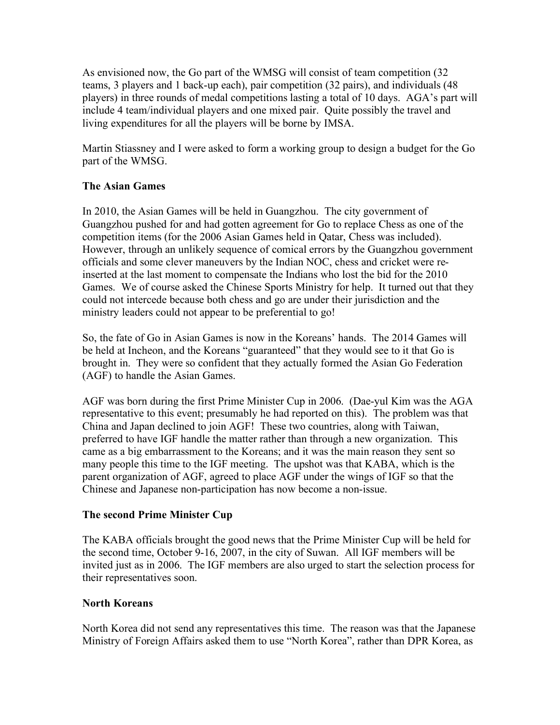As envisioned now, the Go part of the WMSG will consist of team competition (32 teams, 3 players and 1 back-up each), pair competition (32 pairs), and individuals (48 players) in three rounds of medal competitions lasting a total of 10 days. AGA's part will include 4 team/individual players and one mixed pair. Quite possibly the travel and living expenditures for all the players will be borne by IMSA.

Martin Stiassney and I were asked to form a working group to design a budget for the Go part of the WMSG.

# **The Asian Games**

In 2010, the Asian Games will be held in Guangzhou. The city government of Guangzhou pushed for and had gotten agreement for Go to replace Chess as one of the competition items (for the 2006 Asian Games held in Qatar, Chess was included). However, through an unlikely sequence of comical errors by the Guangzhou government officials and some clever maneuvers by the Indian NOC, chess and cricket were reinserted at the last moment to compensate the Indians who lost the bid for the 2010 Games. We of course asked the Chinese Sports Ministry for help. It turned out that they could not intercede because both chess and go are under their jurisdiction and the ministry leaders could not appear to be preferential to go!

So, the fate of Go in Asian Games is now in the Koreans' hands. The 2014 Games will be held at Incheon, and the Koreans "guaranteed" that they would see to it that Go is brought in. They were so confident that they actually formed the Asian Go Federation (AGF) to handle the Asian Games.

AGF was born during the first Prime Minister Cup in 2006. (Dae-yul Kim was the AGA representative to this event; presumably he had reported on this). The problem was that China and Japan declined to join AGF! These two countries, along with Taiwan, preferred to have IGF handle the matter rather than through a new organization. This came as a big embarrassment to the Koreans; and it was the main reason they sent so many people this time to the IGF meeting. The upshot was that KABA, which is the parent organization of AGF, agreed to place AGF under the wings of IGF so that the Chinese and Japanese non-participation has now become a non-issue.

## **The second Prime Minister Cup**

The KABA officials brought the good news that the Prime Minister Cup will be held for the second time, October 9-16, 2007, in the city of Suwan. All IGF members will be invited just as in 2006. The IGF members are also urged to start the selection process for their representatives soon.

## **North Koreans**

North Korea did not send any representatives this time. The reason was that the Japanese Ministry of Foreign Affairs asked them to use "North Korea", rather than DPR Korea, as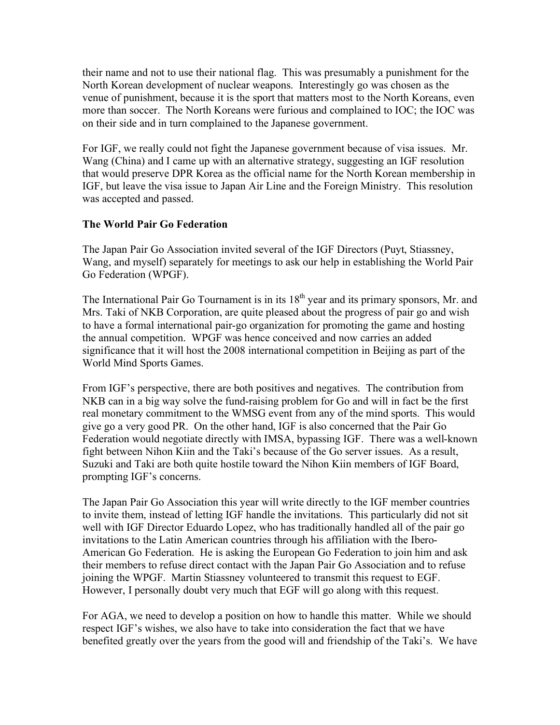their name and not to use their national flag. This was presumably a punishment for the North Korean development of nuclear weapons. Interestingly go was chosen as the venue of punishment, because it is the sport that matters most to the North Koreans, even more than soccer. The North Koreans were furious and complained to IOC; the IOC was on their side and in turn complained to the Japanese government.

For IGF, we really could not fight the Japanese government because of visa issues. Mr. Wang (China) and I came up with an alternative strategy, suggesting an IGF resolution that would preserve DPR Korea as the official name for the North Korean membership in IGF, but leave the visa issue to Japan Air Line and the Foreign Ministry. This resolution was accepted and passed.

## **The World Pair Go Federation**

The Japan Pair Go Association invited several of the IGF Directors (Puyt, Stiassney, Wang, and myself) separately for meetings to ask our help in establishing the World Pair Go Federation (WPGF).

The International Pair Go Tournament is in its  $18<sup>th</sup>$  year and its primary sponsors, Mr. and Mrs. Taki of NKB Corporation, are quite pleased about the progress of pair go and wish to have a formal international pair-go organization for promoting the game and hosting the annual competition. WPGF was hence conceived and now carries an added significance that it will host the 2008 international competition in Beijing as part of the World Mind Sports Games.

From IGF's perspective, there are both positives and negatives. The contribution from NKB can in a big way solve the fund-raising problem for Go and will in fact be the first real monetary commitment to the WMSG event from any of the mind sports. This would give go a very good PR. On the other hand, IGF is also concerned that the Pair Go Federation would negotiate directly with IMSA, bypassing IGF. There was a well-known fight between Nihon Kiin and the Taki's because of the Go server issues. As a result, Suzuki and Taki are both quite hostile toward the Nihon Kiin members of IGF Board, prompting IGF's concerns.

The Japan Pair Go Association this year will write directly to the IGF member countries to invite them, instead of letting IGF handle the invitations. This particularly did not sit well with IGF Director Eduardo Lopez, who has traditionally handled all of the pair go invitations to the Latin American countries through his affiliation with the Ibero-American Go Federation. He is asking the European Go Federation to join him and ask their members to refuse direct contact with the Japan Pair Go Association and to refuse joining the WPGF. Martin Stiassney volunteered to transmit this request to EGF. However, I personally doubt very much that EGF will go along with this request.

For AGA, we need to develop a position on how to handle this matter. While we should respect IGF's wishes, we also have to take into consideration the fact that we have benefited greatly over the years from the good will and friendship of the Taki's. We have